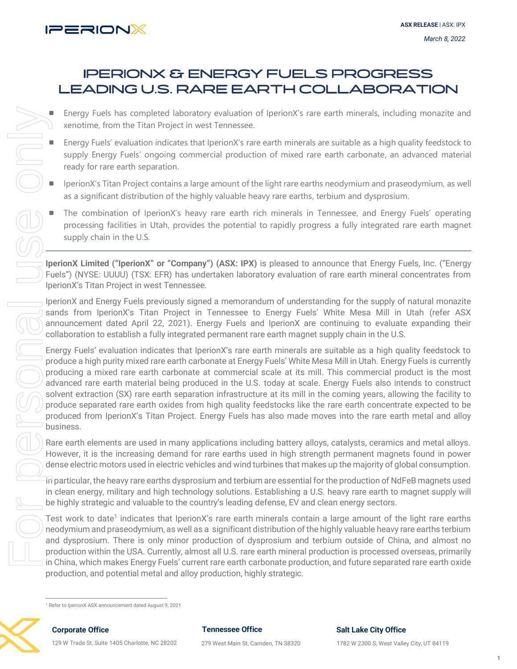

# IPERIONX & ENERGY FUELS PROGRESS LEADING U.S. RARE EARTH COLLABORATION

- Energy Fuels has completed laboratory evaluation of IperionX's rare earth minerals, including monazite and xenotime, from the Titan Project in west Tennessee.
- Energy Fuels' evaluation indicates that IperionX's rare earth minerals are suitable as a high quality feedstock to supply Energy Fuels' ongoing commercial production of mixed rare earth carbonate, an advanced material ready for rare earth separation.
- IperionX's Titan Project contains a large amount of the light rare earths neodymium and praseodymium, as well as a significant distribution of the highly valuable heavy rare earths, terbium and dysprosium.
- The combination of IperionX's heavy rare earth rich minerals in Tennessee, and Energy Fuels' operating processing facilities in Utah, provides the potential to rapidly progress a fully integrated rare earth magnet supply chain in the U.S.

**IperionX Limited ("IperionX" or "Company") (ASX: IPX)** is pleased to announce that Energy Fuels, Inc. ("Energy Fuels") (NYSE: UUUU) (TSX: EFR) has undertaken laboratory evaluation of rare earth mineral concentrates from IperionX's Titan Project in west Tennessee.

IperionX and Energy Fuels previously signed a memorandum of understanding for the supply of natural monazite sands from IperionX's Titan Project in Tennessee to Energy Fuels' White Mesa Mill in Utah (refer ASX announcement dated April 22, 2021). Energy Fuels and IperionX are continuing to evaluate expanding their collaboration to establish a fully integrated permanent rare earth magnet supply chain in the U.S.

Energy Fuels' evaluation indicates that IperionX's rare earth minerals are suitable as a high quality feedstock to produce a high purity mixed rare earth carbonate at Energy Fuels' White Mesa Mill in Utah. Energy Fuels is currently producing a mixed rare earth carbonate at commercial scale at its mill. This commercial product is the most advanced rare earth material being produced in the U.S. today at scale. Energy Fuels also intends to construct solvent extraction (SX) rare earth separation infrastructure at its mill in the coming years, allowing the facility to produce separated rare earth oxides from high quality feedstocks like the rare earth concentrate expected to be produced from IperionX's Titan Project. Energy Fuels has also made moves into the rare earth metal and alloy business. Energy Fuels has completed later and the Titan Projector and the Titan Projector (Figure 1974) For perionX's Titan Project contains as a significant distribution of the moment of perionX's processing facilities in Utah, pr

Rare earth elements are used in many applications including battery alloys, catalysts, ceramics and metal alloys. However, it is the increasing demand for rare earths used in high strength permanent magnets found in power dense electric motors used in electric vehicles and wind turbines that makes up the majority of global consumption.

In particular, the heavy rare earths dysprosium and terbium are essential for the production of NdFeB magnets used in clean energy, military and high technology solutions. Establishing a U.S. heavy rare earth to magnet supply will be highly strategic and valuable to the country's leading defense, EV and clean energy sectors.

Test work to date<sup>1</sup> indicates that IperionX's rare earth minerals contain a large amount of the light rare earths neodymium and praseodymium, as well as a significant distribution of the highly valuable heavy rare earths terbium and dysprosium. There is only minor production of dysprosium and terbium outside of China, and almost no production within the USA. Currently, almost all U.S. rare earth mineral production is processed overseas, primarily in China, which makes Energy Fuels' current rare earth carbonate production, and future separated rare earth oxide production, and potential metal and alloy production, highly strategic.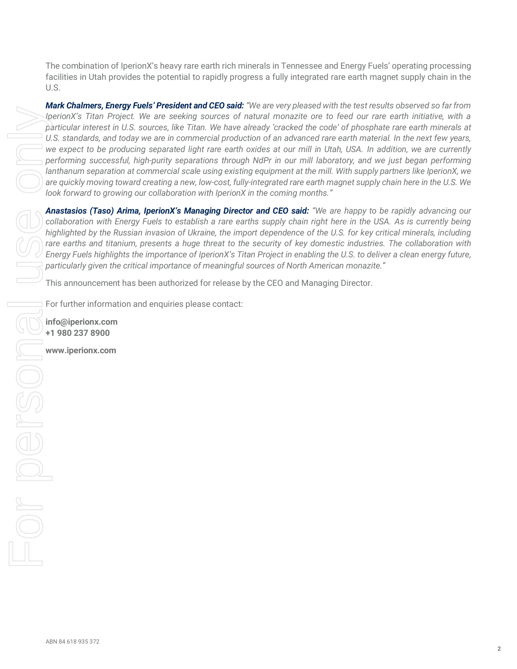The combination of IperionX's heavy rare earth rich minerals in Tennessee and Energy Fuels' operating processing facilities in Utah provides the potential to rapidly progress a fully integrated rare earth magnet supply chain in the U.S.

*Mark Chalmers, Energy Fuels' President and CEO said: "We are very pleased with the test results observed so far from IperionX's Titan Project. We are seeking sources of natural monazite ore to feed our rare earth initiative, with a particular interest in U.S. sources, like Titan. We have already 'cracked the code' of phosphate rare earth minerals at U.S. standards, and today we are in commercial production of an advanced rare earth material. In the next few years, we expect to be producing separated light rare earth oxides at our mill in Utah, USA. In addition, we are currently performing successful, high-purity separations through NdPr in our mill laboratory, and we just began performing lanthanum separation at commercial scale using existing equipment at the mill. With supply partners like IperionX, we are quickly moving toward creating a new, low-cost, fully-integrated rare earth magnet supply chain here in the U.S. We look forward to growing our collaboration with IperionX in the coming months."* 

*Anastasios (Taso) Arima, IperionX's Managing Director and CEO said: "We are happy to be rapidly advancing our collaboration with Energy Fuels to establish a rare earths supply chain right here in the USA. As is currently being highlighted by the Russian invasion of Ukraine, the import dependence of the U.S. for key critical minerals, including rare earths and titanium, presents a huge threat to the security of key domestic industries. The collaboration with Energy Fuels highlights the importance of IperionX's Titan Project in enabling the U.S. to deliver a clean energy future, particularly given the critical importance of meaningful sources of North American monazite."*

This announcement has been authorized for release by the CEO and Managing Director.

For further information and enquiries please contact:

**[info@iperionx.com](mailto:info@iperionx.com) +1 980 237 8900**